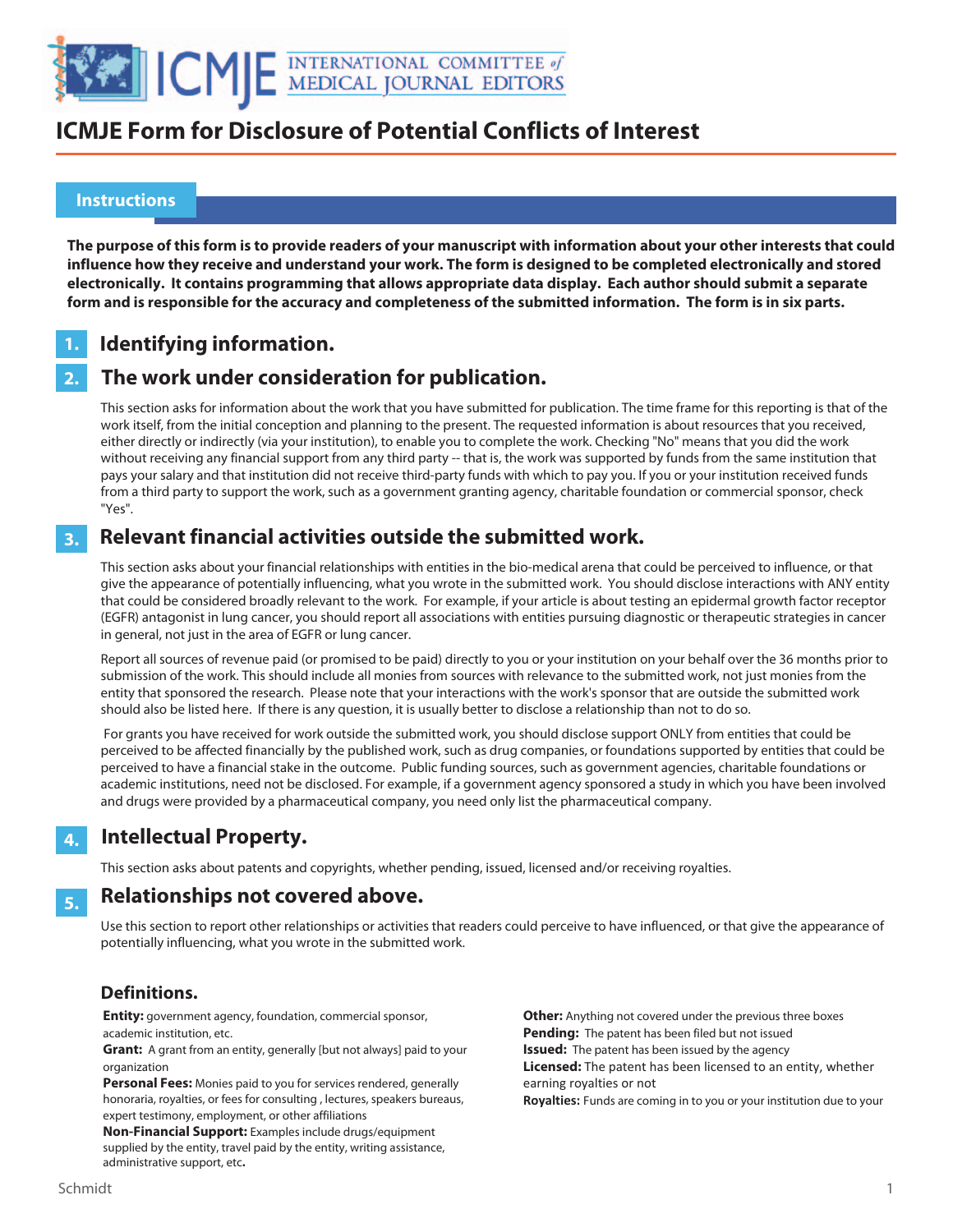

### **Instructions**

ֺ֘

**The purpose of this form is to provide readers of your manuscript with information about your other interests that could influence how they receive and understand your work. The form is designed to be completed electronically and stored electronically. It contains programming that allows appropriate data display. Each author should submit a separate form and is responsible for the accuracy and completeness of the submitted information. The form is in six parts.** 

#### **Identifying information. 1.**

#### **The work under consideration for publication. 2.**

This section asks for information about the work that you have submitted for publication. The time frame for this reporting is that of the work itself, from the initial conception and planning to the present. The requested information is about resources that you received, either directly or indirectly (via your institution), to enable you to complete the work. Checking "No" means that you did the work without receiving any financial support from any third party -- that is, the work was supported by funds from the same institution that pays your salary and that institution did not receive third-party funds with which to pay you. If you or your institution received funds from a third party to support the work, such as a government granting agency, charitable foundation or commercial sponsor, check "Yes".

#### **Relevant financial activities outside the submitted work. 3.**

This section asks about your financial relationships with entities in the bio-medical arena that could be perceived to influence, or that give the appearance of potentially influencing, what you wrote in the submitted work. You should disclose interactions with ANY entity that could be considered broadly relevant to the work. For example, if your article is about testing an epidermal growth factor receptor (EGFR) antagonist in lung cancer, you should report all associations with entities pursuing diagnostic or therapeutic strategies in cancer in general, not just in the area of EGFR or lung cancer.

Report all sources of revenue paid (or promised to be paid) directly to you or your institution on your behalf over the 36 months prior to submission of the work. This should include all monies from sources with relevance to the submitted work, not just monies from the entity that sponsored the research. Please note that your interactions with the work's sponsor that are outside the submitted work should also be listed here. If there is any question, it is usually better to disclose a relationship than not to do so.

 For grants you have received for work outside the submitted work, you should disclose support ONLY from entities that could be perceived to be affected financially by the published work, such as drug companies, or foundations supported by entities that could be perceived to have a financial stake in the outcome. Public funding sources, such as government agencies, charitable foundations or academic institutions, need not be disclosed. For example, if a government agency sponsored a study in which you have been involved and drugs were provided by a pharmaceutical company, you need only list the pharmaceutical company.

#### **Intellectual Property. 4.**

This section asks about patents and copyrights, whether pending, issued, licensed and/or receiving royalties.

#### **Relationships not covered above. 5.**

Use this section to report other relationships or activities that readers could perceive to have influenced, or that give the appearance of potentially influencing, what you wrote in the submitted work.

### **Definitions.**

**Entity:** government agency, foundation, commercial sponsor, academic institution, etc.

**Grant:** A grant from an entity, generally [but not always] paid to your organization

**Personal Fees:** Monies paid to you for services rendered, generally honoraria, royalties, or fees for consulting , lectures, speakers bureaus, expert testimony, employment, or other affiliations

**Non-Financial Support:** Examples include drugs/equipment supplied by the entity, travel paid by the entity, writing assistance, administrative support, etc**.**

**Other:** Anything not covered under the previous three boxes **Pending:** The patent has been filed but not issued **Issued:** The patent has been issued by the agency **Licensed:** The patent has been licensed to an entity, whether earning royalties or not

**Royalties:** Funds are coming in to you or your institution due to your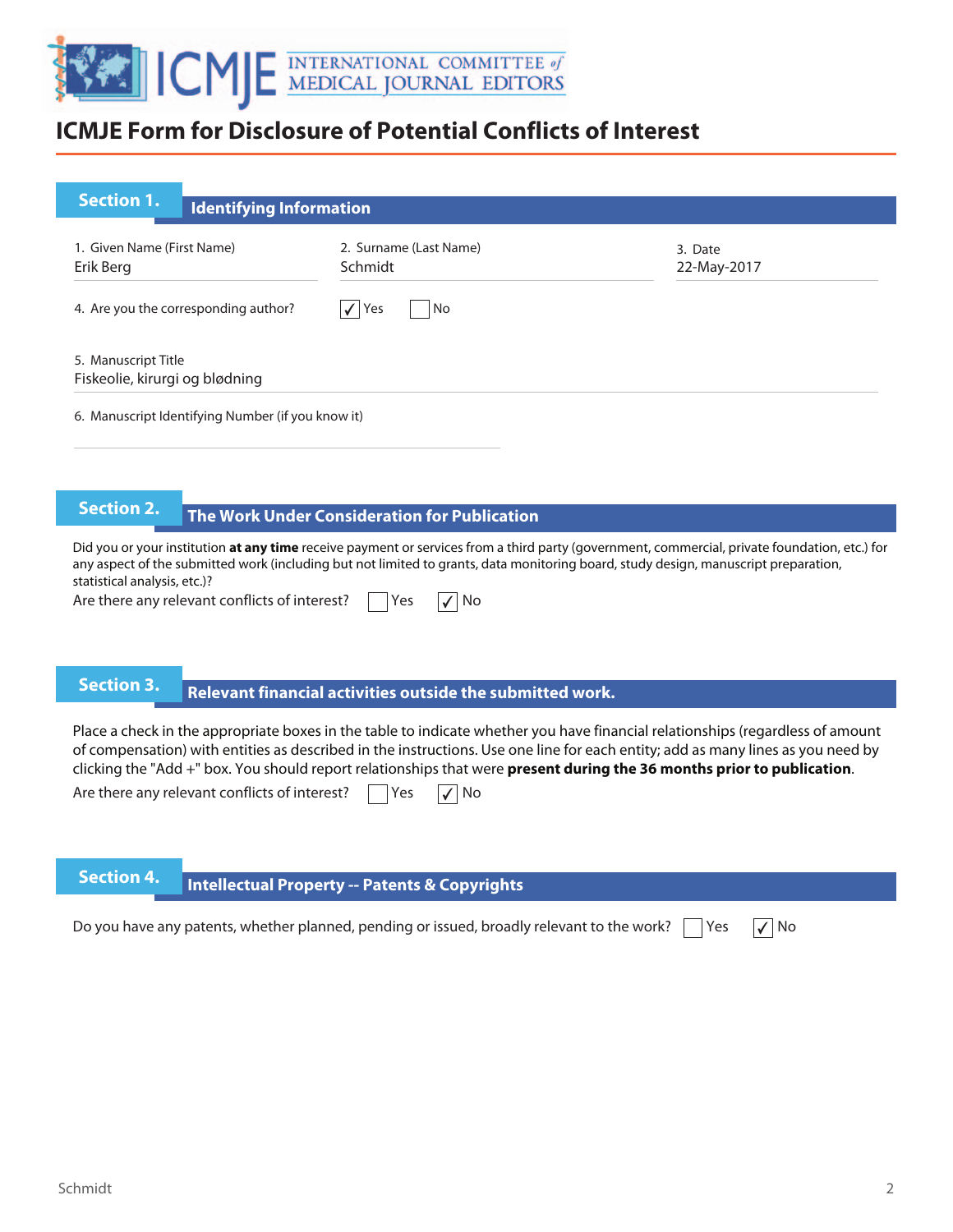

| <b>Section 1.</b>                                     | <b>Identifying Information</b>                    |                                   |                        |  |  |
|-------------------------------------------------------|---------------------------------------------------|-----------------------------------|------------------------|--|--|
| 1. Given Name (First Name)<br>Erik Berg               |                                                   | 2. Surname (Last Name)<br>Schmidt | 3. Date<br>22-May-2017 |  |  |
| 4. Are you the corresponding author?                  |                                                   | $\sqrt{Y}$<br>No                  |                        |  |  |
| 5. Manuscript Title<br>Fiskeolie, kirurgi og blødning |                                                   |                                   |                        |  |  |
|                                                       | 6. Manuscript Identifying Number (if you know it) |                                   |                        |  |  |

# **The Work Under Consideration for Publication**

Did you or your institution **at any time** receive payment or services from a third party (government, commercial, private foundation, etc.) for any aspect of the submitted work (including but not limited to grants, data monitoring board, study design, manuscript preparation, statistical analysis, etc.)?

Are there any relevant conflicts of interest?  $\Box$  Yes  $\Box$  No

## **Relevant financial activities outside the submitted work. Section 3. Relevant financial activities outsals**

Place a check in the appropriate boxes in the table to indicate whether you have financial relationships (regardless of amount of compensation) with entities as described in the instructions. Use one line for each entity; add as many lines as you need by clicking the "Add +" box. You should report relationships that were **present during the 36 months prior to publication**.

Are there any relevant conflicts of interest?  $\Box$  Yes  $\Box$  No

# **Intellectual Property -- Patents & Copyrights**

Do you have any patents, whether planned, pending or issued, broadly relevant to the work?  $\vert \ \vert$  Yes  $\vert \sqrt{\vert N}$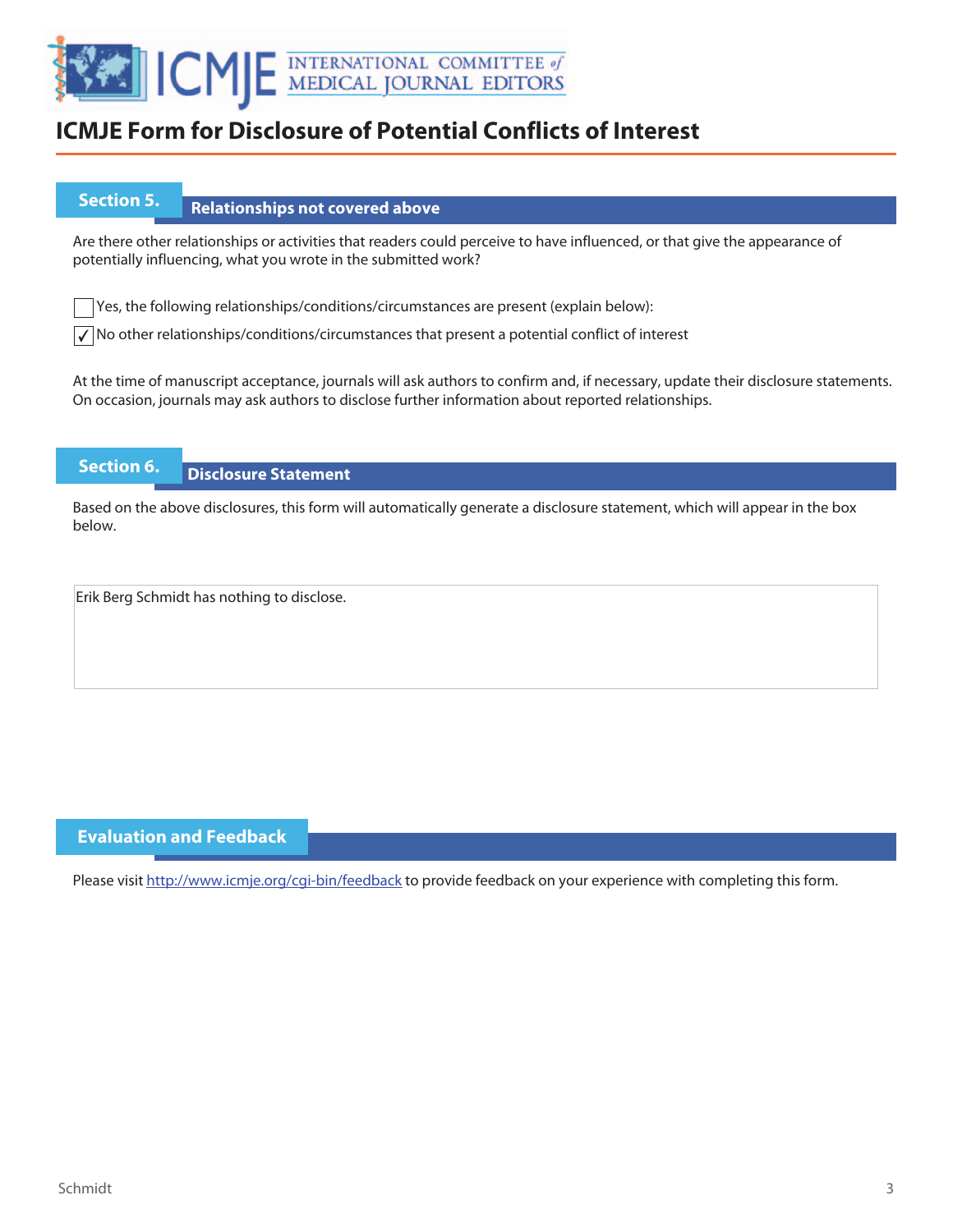

### **Section 5.** Relationships not covered above

Are there other relationships or activities that readers could perceive to have influenced, or that give the appearance of potentially influencing, what you wrote in the submitted work?

Yes, the following relationships/conditions/circumstances are present (explain below):

 $\sqrt{\ }$  No other relationships/conditions/circumstances that present a potential conflict of interest

At the time of manuscript acceptance, journals will ask authors to confirm and, if necessary, update their disclosure statements. On occasion, journals may ask authors to disclose further information about reported relationships.

### **Section 6. Disclosure Statement**

Based on the above disclosures, this form will automatically generate a disclosure statement, which will appear in the box below.

Erik Berg Schmidt has nothing to disclose.

### **Evaluation and Feedback**

Please visit http://www.icmje.org/cgi-bin/feedback to provide feedback on your experience with completing this form.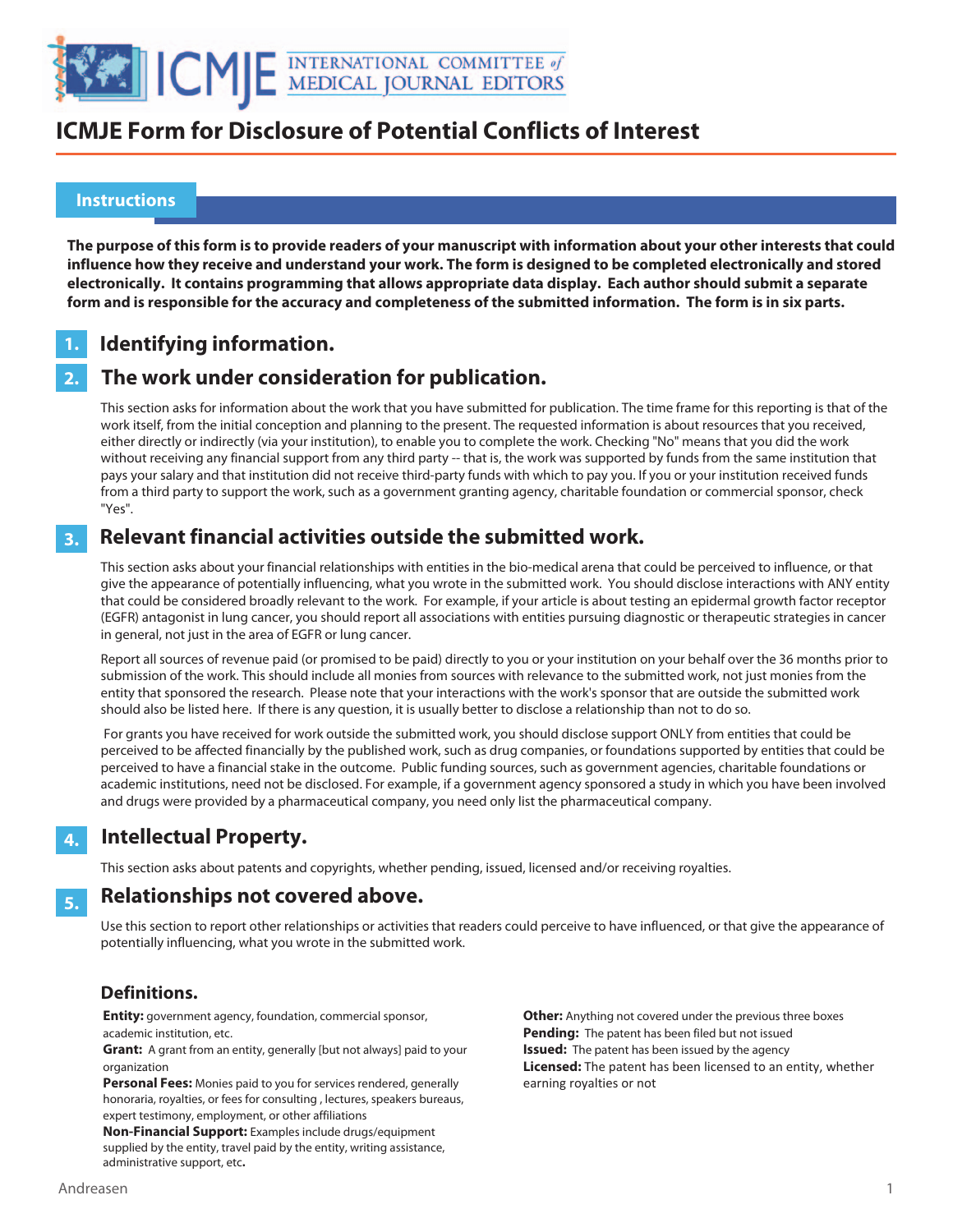

#### **Instructions**

ֺ֘

**The purpose of this form is to provide readers of your manuscript with information about your other interests that could influence how they receive and understand your work. The form is designed to be completed electronically and stored electronically. It contains programming that allows appropriate data display. Each author should submit a separate form and is responsible for the accuracy and completeness of the submitted information. The form is in six parts.** 

#### **Identifying information. 1.**

#### **The work under consideration for publication. 2.**

This section asks for information about the work that you have submitted for publication. The time frame for this reporting is that of the work itself, from the initial conception and planning to the present. The requested information is about resources that you received, either directly or indirectly (via your institution), to enable you to complete the work. Checking "No" means that you did the work without receiving any financial support from any third party -- that is, the work was supported by funds from the same institution that pays your salary and that institution did not receive third-party funds with which to pay you. If you or your institution received funds from a third party to support the work, such as a government granting agency, charitable foundation or commercial sponsor, check "Yes".

#### **Relevant financial activities outside the submitted work. 3.**

This section asks about your financial relationships with entities in the bio-medical arena that could be perceived to influence, or that give the appearance of potentially influencing, what you wrote in the submitted work. You should disclose interactions with ANY entity that could be considered broadly relevant to the work. For example, if your article is about testing an epidermal growth factor receptor (EGFR) antagonist in lung cancer, you should report all associations with entities pursuing diagnostic or therapeutic strategies in cancer in general, not just in the area of EGFR or lung cancer.

Report all sources of revenue paid (or promised to be paid) directly to you or your institution on your behalf over the 36 months prior to submission of the work. This should include all monies from sources with relevance to the submitted work, not just monies from the entity that sponsored the research. Please note that your interactions with the work's sponsor that are outside the submitted work should also be listed here. If there is any question, it is usually better to disclose a relationship than not to do so.

 For grants you have received for work outside the submitted work, you should disclose support ONLY from entities that could be perceived to be affected financially by the published work, such as drug companies, or foundations supported by entities that could be perceived to have a financial stake in the outcome. Public funding sources, such as government agencies, charitable foundations or academic institutions, need not be disclosed. For example, if a government agency sponsored a study in which you have been involved and drugs were provided by a pharmaceutical company, you need only list the pharmaceutical company.

#### **Intellectual Property. 4.**

This section asks about patents and copyrights, whether pending, issued, licensed and/or receiving royalties.

#### **Relationships not covered above. 5.**

Use this section to report other relationships or activities that readers could perceive to have influenced, or that give the appearance of potentially influencing, what you wrote in the submitted work.

### **Definitions.**

**Entity:** government agency, foundation, commercial sponsor, academic institution, etc.

**Grant:** A grant from an entity, generally [but not always] paid to your organization

**Personal Fees:** Monies paid to you for services rendered, generally honoraria, royalties, or fees for consulting , lectures, speakers bureaus, expert testimony, employment, or other affiliations

**Non-Financial Support:** Examples include drugs/equipment supplied by the entity, travel paid by the entity, writing assistance, administrative support, etc**.**

**Other:** Anything not covered under the previous three boxes **Pending:** The patent has been filed but not issued **Issued:** The patent has been issued by the agency **Licensed:** The patent has been licensed to an entity, whether earning royalties or not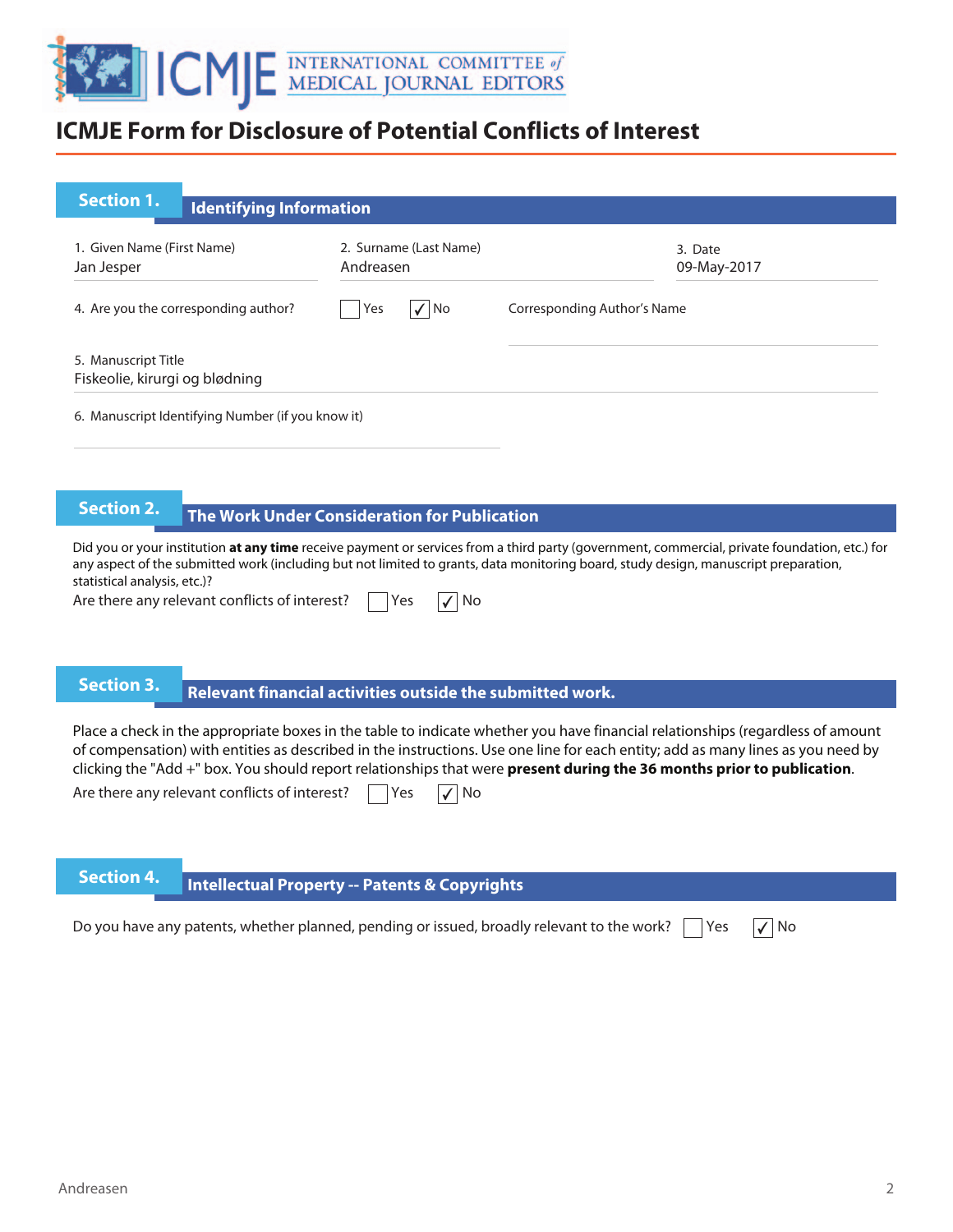

| <b>Section 1.</b><br><b>Identifying Information</b>   |                                     |                             |  |
|-------------------------------------------------------|-------------------------------------|-----------------------------|--|
| 1. Given Name (First Name)<br>Jan Jesper              | 2. Surname (Last Name)<br>Andreasen | 3. Date<br>09-May-2017      |  |
| 4. Are you the corresponding author?                  | $\sqrt{ N_{0} }$<br>Yes             | Corresponding Author's Name |  |
| 5. Manuscript Title<br>Fiskeolie, kirurgi og blødning |                                     |                             |  |

6. Manuscript Identifying Number (if you know it)

# **The Work Under Consideration for Publication**

Did you or your institution **at any time** receive payment or services from a third party (government, commercial, private foundation, etc.) for any aspect of the submitted work (including but not limited to grants, data monitoring board, study design, manuscript preparation, statistical analysis, etc.)?

Are there any relevant conflicts of interest?  $\Box$  Yes  $\Box$  No

## **Relevant financial activities outside the submitted work. Section 3. Relevant financial activities outsals**

Place a check in the appropriate boxes in the table to indicate whether you have financial relationships (regardless of amount of compensation) with entities as described in the instructions. Use one line for each entity; add as many lines as you need by clicking the "Add +" box. You should report relationships that were **present during the 36 months prior to publication**.

Are there any relevant conflicts of interest?  $\Box$  Yes  $\Box$  No

## **Intellectual Property -- Patents & Copyrights**

Do you have any patents, whether planned, pending or issued, broadly relevant to the work?  $\vert \ \vert$  Yes  $\vert \sqrt{\vert N}$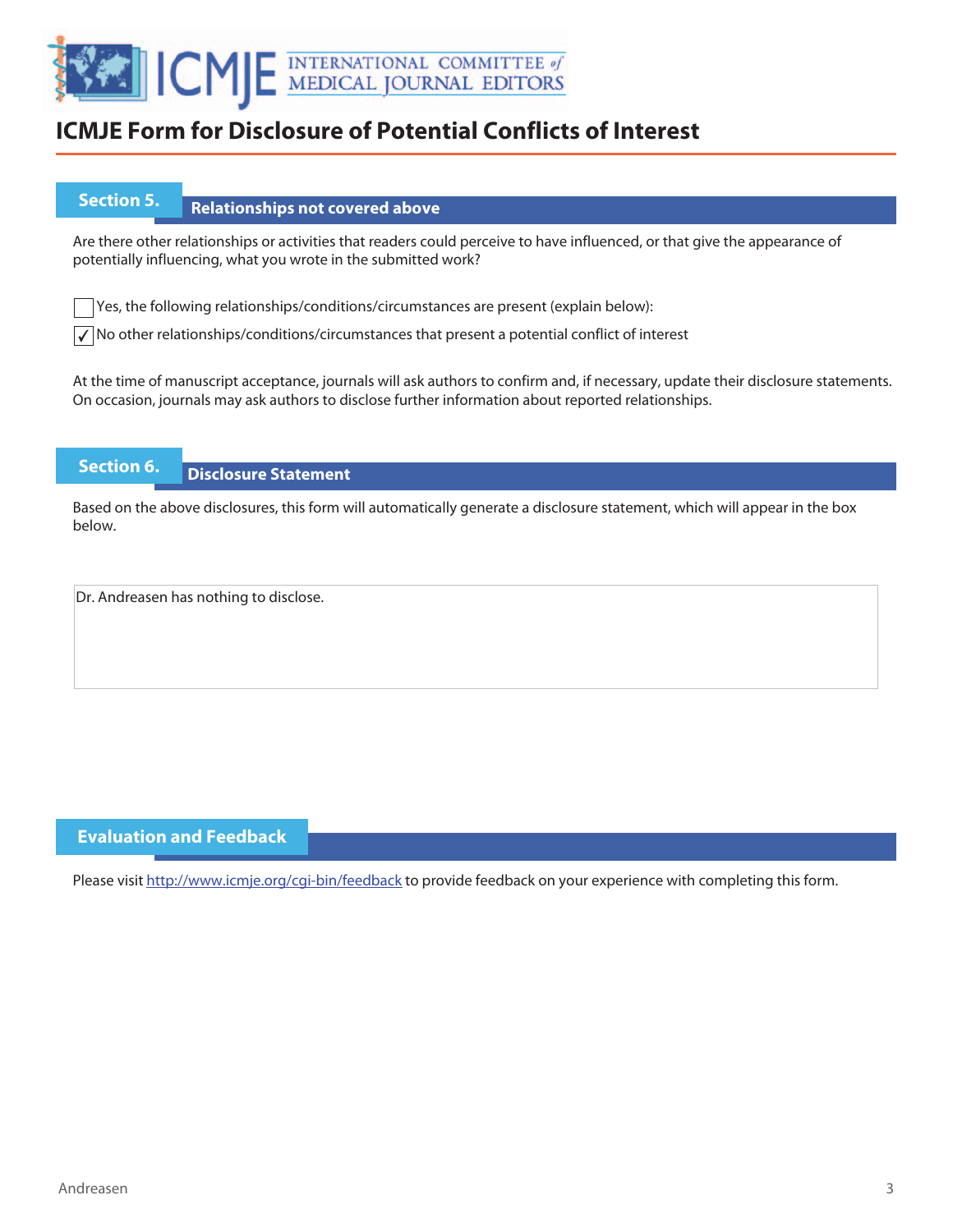

### **Section 5.** Relationships not covered above

Are there other relationships or activities that readers could perceive to have influenced, or that give the appearance of potentially influencing, what you wrote in the submitted work?

Yes, the following relationships/conditions/circumstances are present (explain below):

 $\sqrt{\ }$  No other relationships/conditions/circumstances that present a potential conflict of interest

At the time of manuscript acceptance, journals will ask authors to confirm and, if necessary, update their disclosure statements. On occasion, journals may ask authors to disclose further information about reported relationships.

### **Section 6. Disclosure Statement**

Based on the above disclosures, this form will automatically generate a disclosure statement, which will appear in the box below.

Dr. Andreasen has nothing to disclose.

### **Evaluation and Feedback**

Please visit http://www.icmje.org/cgi-bin/feedback to provide feedback on your experience with completing this form.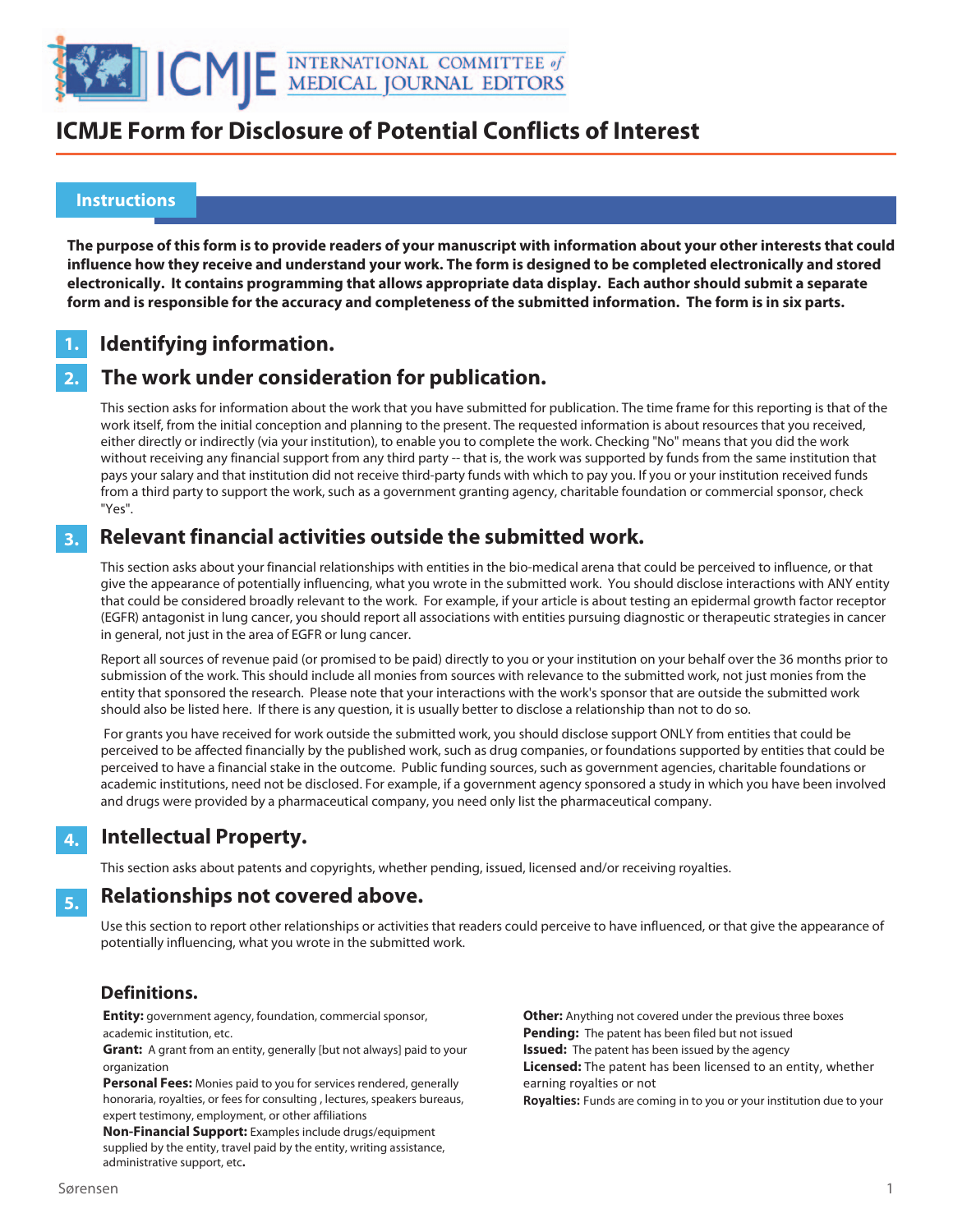

#### **Instructions**

ֺ֘

**The purpose of this form is to provide readers of your manuscript with information about your other interests that could influence how they receive and understand your work. The form is designed to be completed electronically and stored electronically. It contains programming that allows appropriate data display. Each author should submit a separate form and is responsible for the accuracy and completeness of the submitted information. The form is in six parts.** 

#### **Identifying information. 1.**

#### **The work under consideration for publication. 2.**

This section asks for information about the work that you have submitted for publication. The time frame for this reporting is that of the work itself, from the initial conception and planning to the present. The requested information is about resources that you received, either directly or indirectly (via your institution), to enable you to complete the work. Checking "No" means that you did the work without receiving any financial support from any third party -- that is, the work was supported by funds from the same institution that pays your salary and that institution did not receive third-party funds with which to pay you. If you or your institution received funds from a third party to support the work, such as a government granting agency, charitable foundation or commercial sponsor, check "Yes".

#### **Relevant financial activities outside the submitted work. 3.**

This section asks about your financial relationships with entities in the bio-medical arena that could be perceived to influence, or that give the appearance of potentially influencing, what you wrote in the submitted work. You should disclose interactions with ANY entity that could be considered broadly relevant to the work. For example, if your article is about testing an epidermal growth factor receptor (EGFR) antagonist in lung cancer, you should report all associations with entities pursuing diagnostic or therapeutic strategies in cancer in general, not just in the area of EGFR or lung cancer.

Report all sources of revenue paid (or promised to be paid) directly to you or your institution on your behalf over the 36 months prior to submission of the work. This should include all monies from sources with relevance to the submitted work, not just monies from the entity that sponsored the research. Please note that your interactions with the work's sponsor that are outside the submitted work should also be listed here. If there is any question, it is usually better to disclose a relationship than not to do so.

 For grants you have received for work outside the submitted work, you should disclose support ONLY from entities that could be perceived to be affected financially by the published work, such as drug companies, or foundations supported by entities that could be perceived to have a financial stake in the outcome. Public funding sources, such as government agencies, charitable foundations or academic institutions, need not be disclosed. For example, if a government agency sponsored a study in which you have been involved and drugs were provided by a pharmaceutical company, you need only list the pharmaceutical company.

#### **Intellectual Property. 4.**

This section asks about patents and copyrights, whether pending, issued, licensed and/or receiving royalties.

#### **Relationships not covered above. 5.**

Use this section to report other relationships or activities that readers could perceive to have influenced, or that give the appearance of potentially influencing, what you wrote in the submitted work.

### **Definitions.**

**Entity:** government agency, foundation, commercial sponsor, academic institution, etc.

**Grant:** A grant from an entity, generally [but not always] paid to your organization

**Personal Fees:** Monies paid to you for services rendered, generally honoraria, royalties, or fees for consulting , lectures, speakers bureaus, expert testimony, employment, or other affiliations

**Non-Financial Support:** Examples include drugs/equipment supplied by the entity, travel paid by the entity, writing assistance, administrative support, etc**.**

**Other:** Anything not covered under the previous three boxes **Pending:** The patent has been filed but not issued **Issued:** The patent has been issued by the agency **Licensed:** The patent has been licensed to an entity, whether earning royalties or not

**Royalties:** Funds are coming in to you or your institution due to your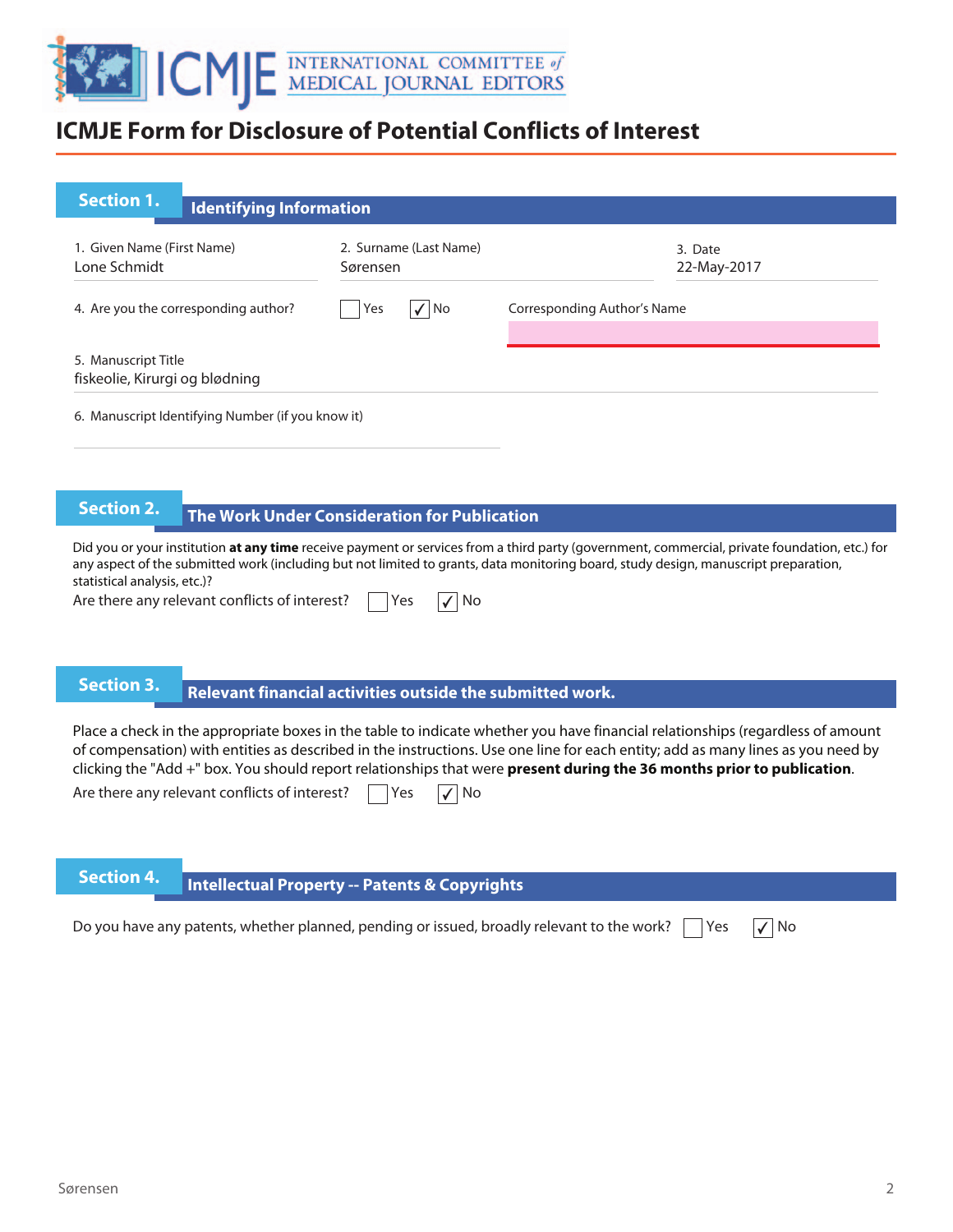

| <b>Section 1.</b><br><b>Identifying Information</b>   |                                    |                             |  |
|-------------------------------------------------------|------------------------------------|-----------------------------|--|
| 1. Given Name (First Name)<br>Lone Schmidt            | 2. Surname (Last Name)<br>Sørensen | 3. Date<br>22-May-2017      |  |
| 4. Are you the corresponding author?                  | $\sqrt{N}$<br>Yes                  | Corresponding Author's Name |  |
| 5. Manuscript Title<br>fiskeolie, Kirurgi og blødning |                                    |                             |  |

6. Manuscript Identifying Number (if you know it)

### **The Work Under Consideration for Publication**

Did you or your institution **at any time** receive payment or services from a third party (government, commercial, private foundation, etc.) for any aspect of the submitted work (including but not limited to grants, data monitoring board, study design, manuscript preparation, statistical analysis, etc.)?

Are there any relevant conflicts of interest?  $\Box$  Yes  $\Box$  No

## **Relevant financial activities outside the submitted work. Section 3. Relevant financial activities outsals**

Place a check in the appropriate boxes in the table to indicate whether you have financial relationships (regardless of amount of compensation) with entities as described in the instructions. Use one line for each entity; add as many lines as you need by clicking the "Add +" box. You should report relationships that were **present during the 36 months prior to publication**.

Are there any relevant conflicts of interest?  $\Box$  Yes  $\Box$  No

## **Intellectual Property -- Patents & Copyrights**

Do you have any patents, whether planned, pending or issued, broadly relevant to the work?  $\vert \ \vert$  Yes  $\vert \sqrt{\vert N}$